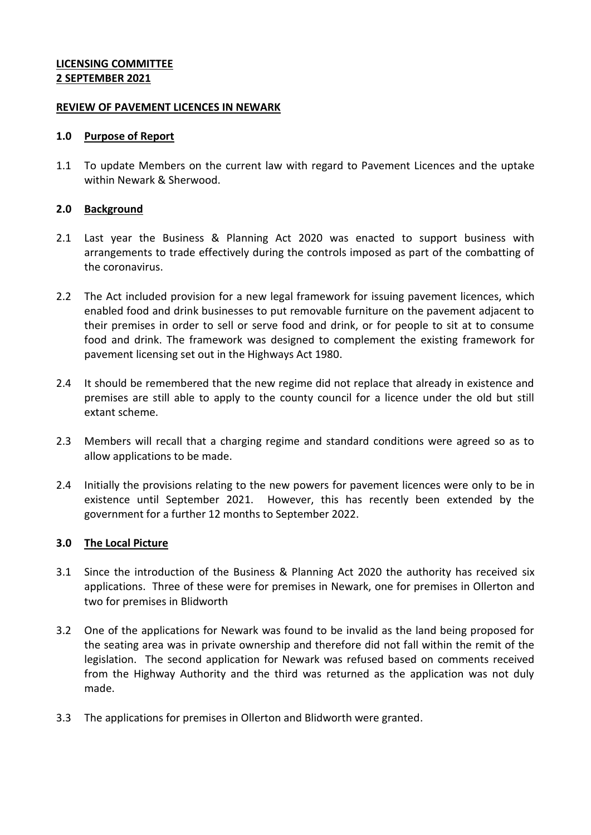## **LICENSING COMMITTEE 2 SEPTEMBER 2021**

#### **REVIEW OF PAVEMENT LICENCES IN NEWARK**

#### **1.0 Purpose of Report**

1.1 To update Members on the current law with regard to Pavement Licences and the uptake within Newark & Sherwood.

## **2.0 Background**

- 2.1 Last year the Business & Planning Act 2020 was enacted to support business with arrangements to trade effectively during the controls imposed as part of the combatting of the coronavirus.
- 2.2 The Act included provision for a new legal framework for issuing pavement licences, which enabled food and drink businesses to put removable furniture on the pavement adjacent to their premises in order to sell or serve food and drink, or for people to sit at to consume food and drink. The framework was designed to complement the existing framework for pavement licensing set out in the Highways Act 1980.
- 2.4 It should be remembered that the new regime did not replace that already in existence and premises are still able to apply to the county council for a licence under the old but still extant scheme.
- 2.3 Members will recall that a charging regime and standard conditions were agreed so as to allow applications to be made.
- 2.4 Initially the provisions relating to the new powers for pavement licences were only to be in existence until September 2021. However, this has recently been extended by the government for a further 12 months to September 2022.

## **3.0 The Local Picture**

- 3.1 Since the introduction of the Business & Planning Act 2020 the authority has received six applications. Three of these were for premises in Newark, one for premises in Ollerton and two for premises in Blidworth
- 3.2 One of the applications for Newark was found to be invalid as the land being proposed for the seating area was in private ownership and therefore did not fall within the remit of the legislation. The second application for Newark was refused based on comments received from the Highway Authority and the third was returned as the application was not duly made.
- 3.3 The applications for premises in Ollerton and Blidworth were granted.